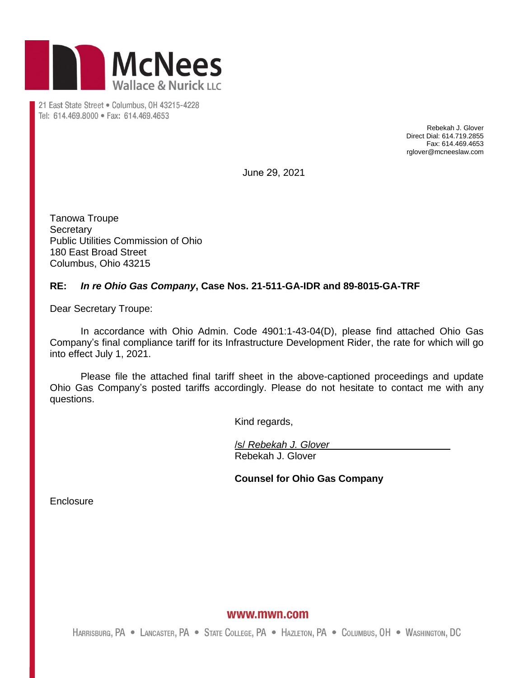

21 East State Street . Columbus, OH 43215-4228 Tel: 614.469.8000 · Fax: 614.469.4653

> Rebekah J. Glover Direct Dial: 614.719.2855 Fax: 614.469.4653 rglover@mcneeslaw.com

June 29, 2021

Tanowa Troupe **Secretary** Public Utilities Commission of Ohio 180 East Broad Street Columbus, Ohio 43215

## **RE:** *In re Ohio Gas Company***, Case Nos. 21-511-GA-IDR and 89-8015-GA-TRF**

Dear Secretary Troupe:

In accordance with Ohio Admin. Code 4901:1-43-04(D), please find attached Ohio Gas Company's final compliance tariff for its Infrastructure Development Rider, the rate for which will go into effect July 1, 2021.

Please file the attached final tariff sheet in the above-captioned proceedings and update Ohio Gas Company's posted tariffs accordingly. Please do not hesitate to contact me with any questions.

Kind regards,

/s/ *Rebekah J. Glover* Rebekah J. Glover

**Counsel for Ohio Gas Company**

**Enclosure** 

www.mwn.com

HARRISBURG, PA . LANCASTER, PA . STATE COLLEGE, PA . HAZLETON, PA . COLUMBUS, OH . WASHINGTON, DC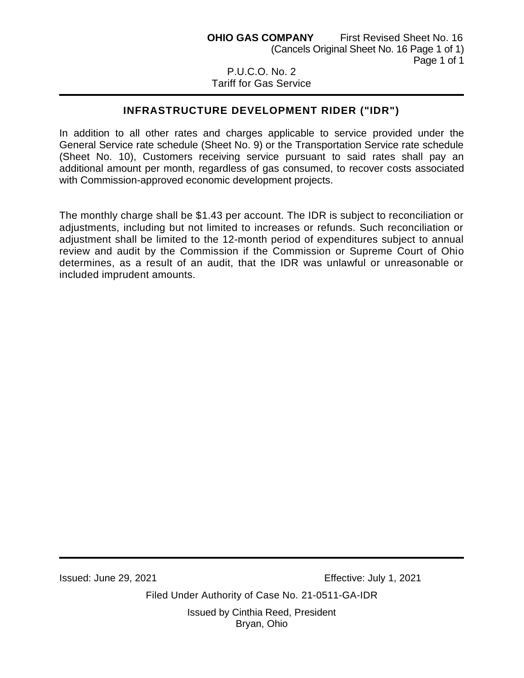## Tariff for Gas Service

## **INFRASTRUCTURE DEVELOPMENT RIDER ("IDR")**

In addition to all other rates and charges applicable to service provided under the General Service rate schedule (Sheet No. 9) or the Transportation Service rate schedule (Sheet No. 10), Customers receiving service pursuant to said rates shall pay an additional amount per month, regardless of gas consumed, to recover costs associated with Commission-approved economic development projects.

The monthly charge shall be \$1.43 per account. The IDR is subject to reconciliation or adjustments, including but not limited to increases or refunds. Such reconciliation or adjustment shall be limited to the 12-month period of expenditures subject to annual review and audit by the Commission if the Commission or Supreme Court of Ohio determines, as a result of an audit, that the IDR was unlawful or unreasonable or included imprudent amounts.

Issued: June 29, 2021 Effective: July 1, 2021

Filed Under Authority of Case No. 21-0511-GA-IDR

Issued by Cinthia Reed, President Bryan, Ohio